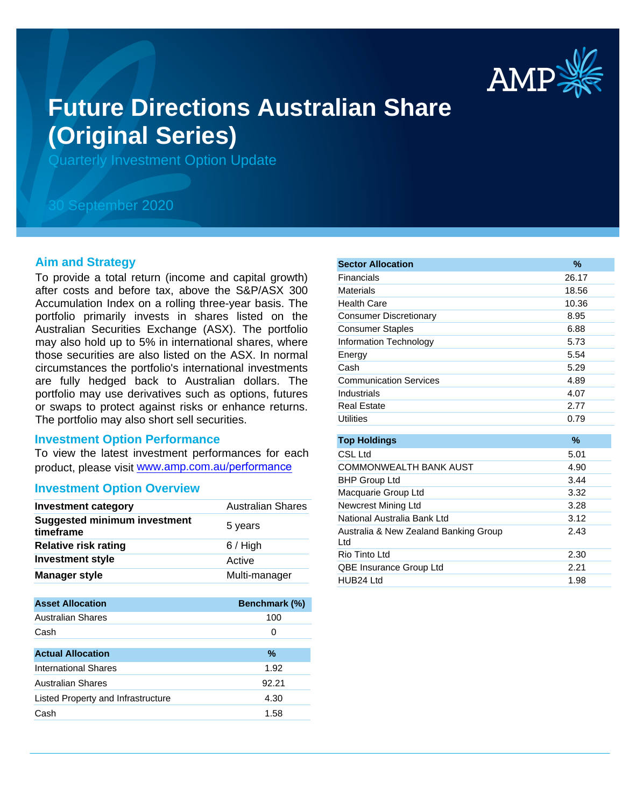

# **Future Directions Australian Share (Original Series)**

Quarterly Investment Option Update

# 30 September 2020

## **Aim and Strategy**

To provide a total return (income and capital growth) after costs and before tax, above the S&P/ASX 300 Accumulation Index on a rolling three-year basis. The portfolio primarily invests in shares listed on the Australian Securities Exchange (ASX). The portfolio may also hold up to 5% in international shares, where those securities are also listed on the ASX. In normal circumstances the portfolio's international investments are fully hedged back to Australian dollars. The portfolio may use derivatives such as options, futures or swaps to protect against risks or enhance returns. The portfolio may also short sell securities.

#### **Investment Option Performance**

To view the latest investment performances for each product, please visit www.amp.com.au/performance

## **Investment Option Overview**

| <b>Investment category</b>                       | <b>Australian Shares</b>                       |
|--------------------------------------------------|------------------------------------------------|
| <b>Suggested minimum investment</b><br>timeframe | 5 years                                        |
| <b>Relative risk rating</b>                      | $6/$ High                                      |
| <b>Investment style</b>                          | Active                                         |
| <b>Manager style</b>                             | Multi-manager                                  |
|                                                  |                                                |
|                                                  | $\mathbf{r}$ and $\mathbf{r}$ and $\mathbf{r}$ |

| <b>Asset Allocation</b>            | Benchmark (%) |
|------------------------------------|---------------|
| Australian Shares                  | 100           |
| Cash                               | 0             |
|                                    |               |
| <b>Actual Allocation</b>           | $\%$          |
| International Shares               | 1.92          |
| <b>Australian Shares</b>           | 92.21         |
| Listed Property and Infrastructure | 4.30          |
| Cash                               | 1.58          |

| <b>Sector Allocation</b>                      | $\%$          |
|-----------------------------------------------|---------------|
| Financials                                    | 26.17         |
| Materials                                     | 18.56         |
| <b>Health Care</b>                            | 10.36         |
| <b>Consumer Discretionary</b>                 | 8.95          |
| <b>Consumer Staples</b>                       | 6.88          |
| Information Technology                        | 5.73          |
| Energy                                        | 5.54          |
| Cash                                          | 5.29          |
| <b>Communication Services</b>                 | 4.89          |
| Industrials                                   | 4.07          |
| <b>Real Estate</b>                            | 2.77          |
| <b>Utilities</b>                              | 0.79          |
|                                               |               |
| <b>Top Holdings</b>                           | $\frac{9}{6}$ |
| CSL Ltd                                       | 5.01          |
| <b>COMMONWEALTH BANK AUST</b>                 | 4.90          |
| <b>BHP Group Ltd</b>                          | 3.44          |
| Macquarie Group Ltd                           | 3.32          |
| Newcrest Mining Ltd                           | 3.28          |
| National Australia Bank Ltd                   | 3.12          |
| Australia & New Zealand Banking Group<br>ht I | 2.43          |
| Rio Tinto Ltd                                 | 2.30          |
| QBE Insurance Group Ltd                       | 2.21          |
| HUB24 Ltd                                     | 1.98          |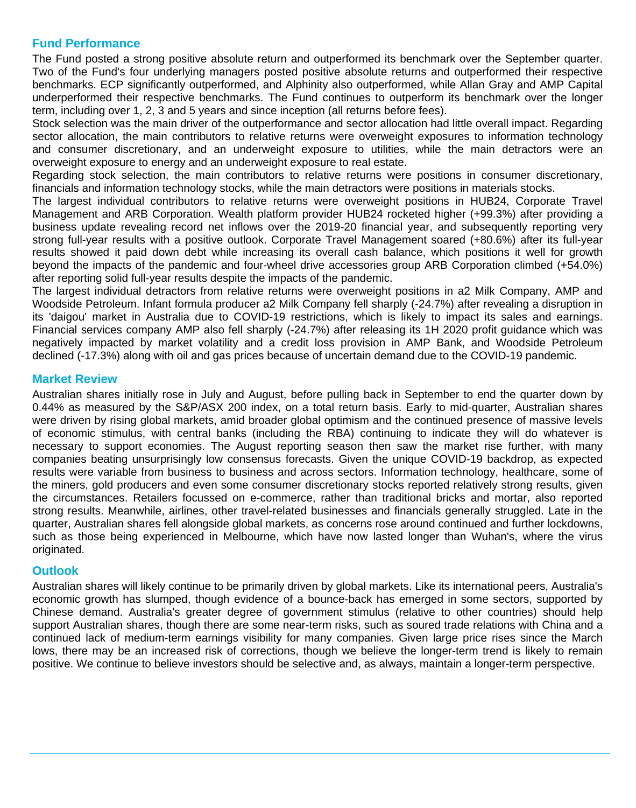# **Fund Performance**

The Fund posted a strong positive absolute return and outperformed its benchmark over the September quarter. Two of the Fund's four underlying managers posted positive absolute returns and outperformed their respective benchmarks. ECP significantly outperformed, and Alphinity also outperformed, while Allan Gray and AMP Capital underperformed their respective benchmarks. The Fund continues to outperform its benchmark over the longer term, including over 1, 2, 3 and 5 years and since inception (all returns before fees).

Stock selection was the main driver of the outperformance and sector allocation had little overall impact. Regarding sector allocation, the main contributors to relative returns were overweight exposures to information technology and consumer discretionary, and an underweight exposure to utilities, while the main detractors were an overweight exposure to energy and an underweight exposure to real estate.

Regarding stock selection, the main contributors to relative returns were positions in consumer discretionary, financials and information technology stocks, while the main detractors were positions in materials stocks.

The largest individual contributors to relative returns were overweight positions in HUB24, Corporate Travel Management and ARB Corporation. Wealth platform provider HUB24 rocketed higher (+99.3%) after providing a business update revealing record net inflows over the 2019-20 financial year, and subsequently reporting very strong full-year results with a positive outlook. Corporate Travel Management soared (+80.6%) after its full-year results showed it paid down debt while increasing its overall cash balance, which positions it well for growth beyond the impacts of the pandemic and four-wheel drive accessories group ARB Corporation climbed (+54.0%) after reporting solid full-year results despite the impacts of the pandemic.

The largest individual detractors from relative returns were overweight positions in a2 Milk Company, AMP and Woodside Petroleum. Infant formula producer a2 Milk Company fell sharply (-24.7%) after revealing a disruption in its 'daigou' market in Australia due to COVID-19 restrictions, which is likely to impact its sales and earnings. Financial services company AMP also fell sharply (-24.7%) after releasing its 1H 2020 profit guidance which was negatively impacted by market volatility and a credit loss provision in AMP Bank, and Woodside Petroleum declined (-17.3%) along with oil and gas prices because of uncertain demand due to the COVID-19 pandemic.

# **Market Review**

Australian shares initially rose in July and August, before pulling back in September to end the quarter down by 0.44% as measured by the S&P/ASX 200 index, on a total return basis. Early to mid-quarter, Australian shares were driven by rising global markets, amid broader global optimism and the continued presence of massive levels of economic stimulus, with central banks (including the RBA) continuing to indicate they will do whatever is necessary to support economies. The August reporting season then saw the market rise further, with many companies beating unsurprisingly low consensus forecasts. Given the unique COVID-19 backdrop, as expected results were variable from business to business and across sectors. Information technology, healthcare, some of the miners, gold producers and even some consumer discretionary stocks reported relatively strong results, given the circumstances. Retailers focussed on e-commerce, rather than traditional bricks and mortar, also reported strong results. Meanwhile, airlines, other travel-related businesses and financials generally struggled. Late in the quarter, Australian shares fell alongside global markets, as concerns rose around continued and further lockdowns, such as those being experienced in Melbourne, which have now lasted longer than Wuhan's, where the virus originated.

# **Outlook**

Australian shares will likely continue to be primarily driven by global markets. Like its international peers, Australia's economic growth has slumped, though evidence of a bounce-back has emerged in some sectors, supported by Chinese demand. Australia's greater degree of government stimulus (relative to other countries) should help support Australian shares, though there are some near-term risks, such as soured trade relations with China and a continued lack of medium-term earnings visibility for many companies. Given large price rises since the March lows, there may be an increased risk of corrections, though we believe the longer-term trend is likely to remain positive. We continue to believe investors should be selective and, as always, maintain a longer-term perspective.